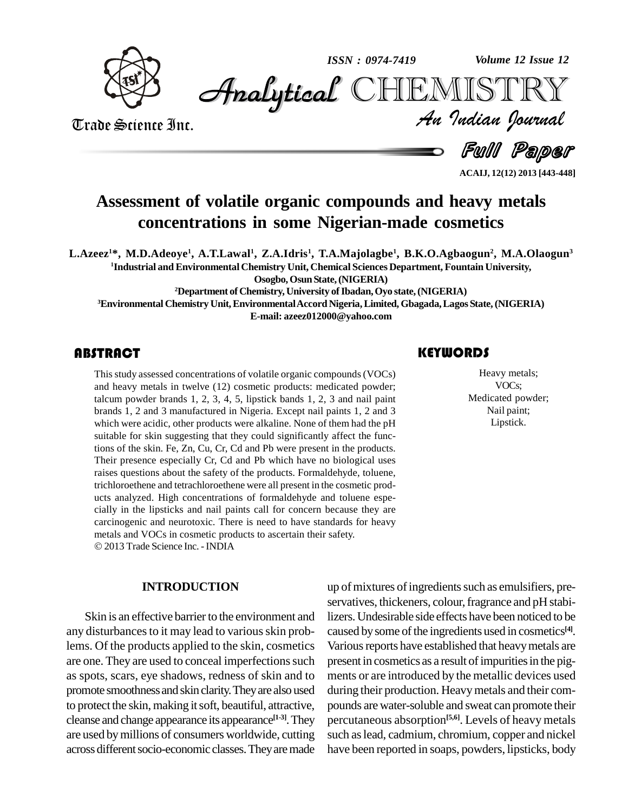*ISSN : 0974-7419*

*Volume 12 Issue 12*

**CHEMISTRY** 



Trade Science Inc. Trade Science Inc. *Volume 12 Issue 12*<br>IISTRY<br>*Indian Iournal* 

Full Paper

**ACAIJ, 12(12) 2013 [443-448]**

### **Assessment of volatile organic compounds and heavy metals concentrations in some Nigerian-made cosmetics**

L.Azeez<sup>1\*</sup>, M.D.Adeoye<sup>1</sup>, A.T.Lawal<sup>1</sup>, Z.A.Idris<sup>1</sup>, T.A.Majolagbe<sup>1</sup>, B.K.O.Agbaogun<sup>2</sup>, M.A.Olaogun<sup>3</sup> **<sup>1</sup>Industrial and Environmental Chemistry Unit, Chemical Sciences Department, Fountain University,**

**Osogbo,OsunState,(NIGERIA)**

**<sup>2</sup>Department ofChemistry, University ofIbadan,Oyo state,(NIGERIA)**

**<sup>3</sup>Environmental Chemistry Unit,EnvironmentalAccordNigeria,Limited, Gbagada,Lagos State,(NIGERIA) E-mail: [azeez012000@yahoo.com](mailto:azeez012000@yahoo.com)**

This study assessed conc<br>and heavy metals in two<br>talcum powder brands 1 Thisstudy assessed concentrations of volatile organic compounds(VOCs) and heavy metals in twelve (12) cosmetic products: medicated powder; talcum powder brands 1, 2, 3, 4, 5, lipstick bands 1, 2, 3 and nail paint brands 1,2 and 3 manufactured in Nigeria. Except nail paints 1,2 and 3 which were acidic, other products were alkaline. None of them had the pH suitable for skin suggesting that they could significantly affect the functions of the skin. Fe, Zn, Cu, Cr, Cd and Pb were present in the products. Their presence especially Cr, Cd and Pb which have no biological uses raises questions about the safety of the products. Formaldehyde, toluene, trichloroethene and tetrachloroethene were all present in the cosmetic products analyzed. High concentrations of formaldehyde and toluene espe cially in the lipsticks and nail paints call for concern because they are carcinogenic and neurotoxic. There is need to have standards for heavy metals and VOCs in cosmetic products to ascertain their safety. 2013 Trade Science Inc. -INDIA

#### **INTRODUCTION**

Skin is an effective barrier to the environment and any disturbances to it may lead to various skin problems. Of the products applied to the skin, cosmetics are one. They are used to conceal imperfections such as spots, scars, eye shadows, redness of skin and to promote smoothnessandskin clarity.Theyare also used to protect the skin, making it soft, beautiful, attractive, cleanse and change appearance its appearance **[1-3]**.They are used bymillions of consumers worldwide, cutting across different socio-economic classes. They are made

#### **KEYWORDS**

Heavy metals;<br>
VOCs;<br>
Medicated powder; Heavy metals; VOCs; Nail paint; Lipstick.

up of mixtures of ingredients such as emulsifiers, preservatives, thickeners, colour, fragrance and pH stabilizers.Undesirable side effects have been noticed to be caused bysome ofthe ingredients used in cosmetics **[4]**. Various reports have established that heavy metals are present in cosmetics as a result of impurities in the pigments or are introduced by the metallic devices used during their production. Heavymetals and their com pounds are water-soluble and sweat can promote their percutaneous absorption **[5,6]**. Levels of heavy metals such aslead, cadmium, chromium, copper and nickel have been reported in soaps, powders, lipsticks, body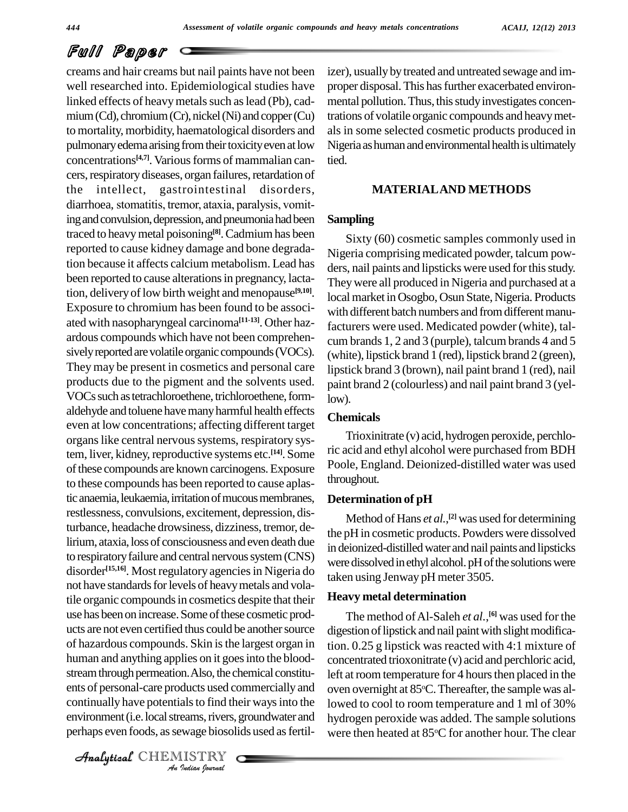# Full Paper

ents of personal-care products used commercially and oven o *Indian*<br>*Indian Indian*<br>*Indian*<br>*IISTRY*<br>*<i>Indian hournal* creams and hair creams but nail paints have not been well researched into. Epidemiological studies have linked effects of heavy metals such as lead (Pb), cadmium (Cd), chromium (Cr), nickel (Ni) and copper (Cu) to mortality, morbidity, haematological disorders and pulmonary edema arising from their toxicity even at low concentrations<sup>[4,7]</sup>. Various forms of mammalian can-<br>tied cers, respiratory diseases, organ failures, retardation of<br>the intellect, gastrointestinal disorders,<br>diarrhoea, stomatitis, tremor, ataxia, paralysis, vomitthe intellect, gastrointestinal disorders, ing and convulsion, depression, and pneumonia had been traced to heavymetal poisoning **[8]**.Cadmiumhas been reported to cause kidney damage and bone degradation because it affects calcium metabolism. Lead has been reported to cause alterations in pregnancy, lactation, delivery of low birth weight and menopause<sup>[9,10]</sup>. <sub>lot</sub> Exposure to chromium has been found to be associ ated with nasopharyngeal carcinoma **[11-13]**. Other haz ardous compounds which have not been comprehen sively reported are volatile organic compounds (VOCs). They may be present in cosmetics and personal care products due to the pigment and the solvents used. VOCs such as tetrachloroethene, trichloroethene, formaldehyde and toluene have many harmful health effects even at low concentrations; affecting different target organs like central nervous systems, respiratory system, liver, kidney, reproductive systems etc. **[14]**. Some of these compounds are known carcinogens. Exposure to these compounds has been reported to cause aplastic anaemia, leukaemia, irritation of mucous membranes, restlessness, convulsions, excitement, depression, disturbance, headache drowsiness, dizziness, tremor, delirium, ataxia, loss of consciousness and even death due to respiratory failure and central nervous system (CNS) disorder<sup>[15,16]</sup>. Most regulatory agencies in Nigeria do not have standards for levels of heavy metals and volatile organic compounds in cosmetics despite that their use has been on increase. Some of these cosmetic products are not even certified thus could be another source of hazardous compounds. Skin isthe largest organ in human and anything applies on it goes into the bloodstream through permeation. Also, the chemical constitucontinually have potentials to find their ways into the environment (i.e. local streams, rivers, groundwater and perhaps even foods, as sewage biosolids used as fertil-

CHEMISTRY COMMENT

izer), usually by treated and untreated sewage and improper disposal. This has further exacerbated environmental pollution. Thus, this study investigates concentrations of volatile organic compounds and heavymet als in some selected cosmetic products produced in Nigeria as human and environmental health is ultimately tied.

#### **MATERIALAND METHODS**

#### **Sampling**

Sixty (60) cosmetic samples commonly used in Nigeria comprising medicated powder, talcum pow ders, nail paints and lipsticks were used for this study. Theywere all produced in Nigeria and purchased at a local market in Osogbo, Osun State, Nigeria. Products with different batch numbers and from different manufacturers were used. Medicated powder (white), tal cum brands 1, 2 and 3 (purple), talcum brands 4 and 5 (white), lipstick brand 1 (red), lipstick brand 2 (green), lipstick brand 3 (brown), nail paint brand 1 (red), nail paint brand 2 (colourless) and nail paint brand 3 (yellow).

### **Chemicals**

Trioxinitrate (v) acid, hydrogen peroxide, perchloric acid and ethyl alcohol were purchased from BDH Poole, England. Deionized-distilled water was used throughout.

#### **Determination of pH**

Method of Hans *et al.*, **[2]** was used fordetermining the pH in cosmetic products. Powders were dissolved in deionized-distilledwater and nail paints and lipsticks were dissolved in ethyl alcohol. pH of the solutions were taken using Jenway pH meter 3505.

#### **Heavy metal determination**

The method ofAl-Saleh *et al.*, **[6]** was used for the digestion of lipstick and nail paint with slight modification. 0.25 g lipstick was reacted with 4:1 mixture of concentrated trioxonitrate (v) acid and perchloric acid, left at room temperature for 4 hours then placed in the oven overnight at 85°C. Thereafter, the sample was allowed to cool to room temperature and 1 ml of 30% hydrogen peroxide was added. The sample solutions were then heated at 85°C for another hour. The clear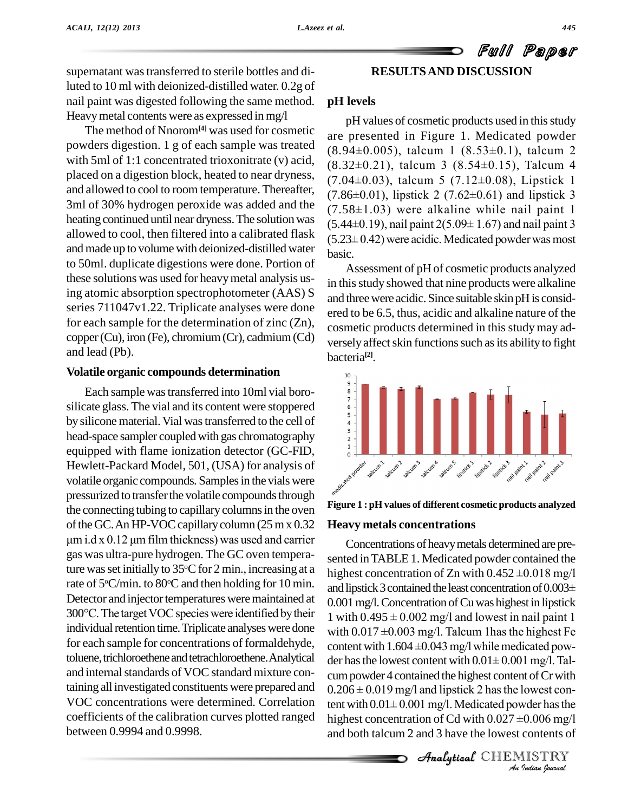### Full Paper **RESULTSAND DISCUSSION**

supernatant was transferred to sterile bottles and diluted to 10 ml with deionized-distilled water. 0.2g of nail paint was digested following the same method. Heavymetal contents were as expressed in mg/l

The method of Nnorom**[4]** was used for cosmetic powders digestion. 1 g of each sample was treated  $(8.94\pm0.005)$ , talcum 1  $(8.53\pm0.1)$ , talcum 2 with 5ml of 1:1 concentrated trioxonitrate (v) acid,  $(8.32\pm0.21)$ , talcum 3  $(8.54\pm0.15)$ , Talcum 4 placed on a digestion block, heated to near dryness, and allowed to cool to room temperature. Thereafter,  $(7.86\pm0.01)$ , lipstick 2  $(7.62\pm0.61)$  and lipstick 3 3ml of 30% hydrogen peroxide was added and the  $(7.58\pm1.03)$  were alkaline while nail paint 1 heating continued until near dryness. The solution was allowed to cool, then filtered into a calibrated flask  $(5.23 \pm 0.42)$  were acidic. Medicated powder was most and made up to volume with deionized-distilled water to 50ml. duplicate digestions were done. Portion of these solutions was used for heavymetal analysis using atomic absorption spectrophotometer (AAS) S series 711047v1.22. Triplicate analyses were done for each sample for the determination of zinc (Zn), copper(Cu), iron (Fe), chromium(Cr), cadmium(Cd) and lead (Pb).

#### **Volatile organic compounds determination**

Each sample wastransferred into 10ml vial boro- Each sample was transferred into 10ml vial boro-<br>silicate glass. The vial and its content were stoppered by silicone material. Vial was transferred to the cell of  $\frac{3}{2}$  head-space sampler coupled with gas chromatography equipped with flame ionization detector (GC-FID, Hewlett-Packard Model, 501, (USA) for analysis of volatile organic compounds. Samplesin the vials were pressurized to transfer the volatile compounds through the connecting tubing to capillary columns in the oven<br>of the GC. An HP-VOC capillary column (25 m x 0.32 **Heavy**<br>um i.d x 0.12 um film thickness) was used and carrier of the GC. An HP-VOC capillary column (25 m x 0.32) gas was ultra-pure hydrogen. The GC oven temperature was set initially to 35 °C for 2 min., increasing at a  $h_{\text{label}}$ rate of 5°C/min. to 80°C and then holding for 10 min.<br>Detector and injector temperatures were maintained at 0.00<br>300°C. The target VOC species were identified by their 1 w Detector and injector temperatures were maintained at 300°C. The target VOC species were identified by their  $1 \text{ with } 0.495 \pm 0.002 \text{ mg/l}$  and lowest in nail paint 1 individual retention time. Triplicate analyses were done with  $0.017 \pm 0.003 \text{ mg/l}$ . Talcum 1 has the highest for each sample for concentrations of formaldehyde, toluene, trichloroethene and tetrachloroethene. Analytical der has the lowest content with  $0.01 \pm 0.001$  mg/l. Taland internal standards of VOC standard mixture containing all investigated constituentswere prepared and VOC concentrations were determined. Correlation coefficients of the calibration curves plotted ranged highest concentration of Cd with  $0.027 \pm 0.006$  mg/l between 0.9994 and 0.9998.

#### **pH levels**

pH values of cosmetic products used in this study are presented in Figure 1. Medicated powder pH values of cosmetic products used in this study<br>are presented in Figure 1. Medicated powder<br> $(8.94\pm0.005)$ , talcum 1  $(8.53\pm0.1)$ , talcum 2 are presented in Figure 1. Medicated powder<br>(8.94±0.005), talcum 1 (8.53±0.1), talcum 2<br>(8.32±0.21), talcum 3 (8.54±0.15), Talcum 4 (8.94±0.005), talcum 1 (8.53±0.1), talcum 2<br>(8.32±0.21), talcum 3 (8.54±0.15), Talcum 4<br>(7.04±0.03), talcum 5 (7.12±0.08), Lipstick 1  $(8.32\pm0.21)$ , talcum 3  $(8.54\pm0.15)$ , Talcum 4<br> $(7.04\pm0.03)$ , talcum 5  $(7.12\pm0.08)$ , Lipstick 1<br> $(7.86\pm0.01)$ , lipstick 2  $(7.62\pm0.61)$  and lipstick 3 (7.04±0.03), talcum 5 (7.12±0.08), Lipstick 1<br>(7.86±0.01), lipstick 2 (7.62±0.61) and lipstick 3<br>(7.58±1.03) were alkaline while nail paint 1 (7.86±0.01), lipstick 2 (7.62±0.61) and lipstick 3<br>(7.58±1.03) were alkaline while nail paint 1<br>(5.44±0.19), nail paint 2(5.09± 1.67) and nail paint 3 (7.58 $\pm$ 1.03) were alkaline while nail paint 1<br>(5.44 $\pm$ 0.19), nail paint 2(5.09 $\pm$ 1.67) and nail paint 3<br>(5.23 $\pm$ 0.42) were acidic. Medicated powder was most basic.

Assessment of pH of cosmetic products analyzed in this study showed that nine products were alkaline and threewere acidic. Since suitable skin pH is consid ered to be 6.5, thus, acidic and alkaline nature of the cosmetic products determined in this study may ad versely affect skin functions such as its ability to fight bacteria **[2]**.



### **Figure 1 : pH values of different cosmetic products analyzed Heavy metals concentrations**

cum powder 4 contained the highest content of Cr with *Indian*<br>*Indian*<br>*Indian*<br>*I*<br>*Indian Journal*<br>*Indian Journal*  $0.206 \pm 0.019$  mg/l and lipstick 2 has the lowest con-Concentrations of heavymetals determined are pre sented inTABLE 1. Medicated powder contained the Concentrations of heavy metals determined are pre-<br>sented in TABLE 1. Medicated powder contained the<br>highest concentration of Zn with  $0.452 \pm 0.018$  mg/l sented in TABLE 1. Medicated powder contained the<br>highest concentration of Zn with  $0.452 \pm 0.018$  mg/l<br>and lipstick 3 contained the least concentration of  $0.003\pm$ 0.001 mg/l. Concentration of Cu was highest in lipstick and lipstick 3 contained the least concentration of  $0.003\pm$ <br>0.001 mg/l. Concentration of Cu was highest in lipstick<br>1 with  $0.495 \pm 0.002$  mg/l and lowest in nail paint 1 0.001 mg/l. Concentration of Cu was highest in lipstick<br>1 with  $0.495 \pm 0.002$  mg/l and lowest in nail paint 1<br>with  $0.017 \pm 0.003$  mg/l. Talcum 1has the highest Fe 1 with  $0.495 \pm 0.002$  mg/l and lowest in nail paint 1<br>with  $0.017 \pm 0.003$  mg/l. Talcum 1 has the highest Fe<br>content with  $1.604 \pm 0.043$  mg/l while medicated powwith  $0.017 \pm 0.003$  mg/l. Talcum 1has the highest Fe<br>content with  $1.604 \pm 0.043$  mg/l while medicated pow-<br>der has the lowest content with  $0.01 \pm 0.001$  mg/l. Talder has the lowest content with  $0.01 \pm 0.001$  mg/l. Tal-<br>cum powder 4 contained the highest content of Cr with<br> $0.206 \pm 0.019$  mg/l and lipstick 2 has the lowest concum powder 4 contained the highest content of Cr with<br>0.206  $\pm$  0.019 mg/l and lipstick 2 has the lowest content with 0.01 $\pm$  0.001 mg/l. Medicated powder has the tent with  $0.01 \pm 0.001$  mg/l. Medicated powder has the and both talcum 2 and 3 have the lowest contents of

CHEMISTRY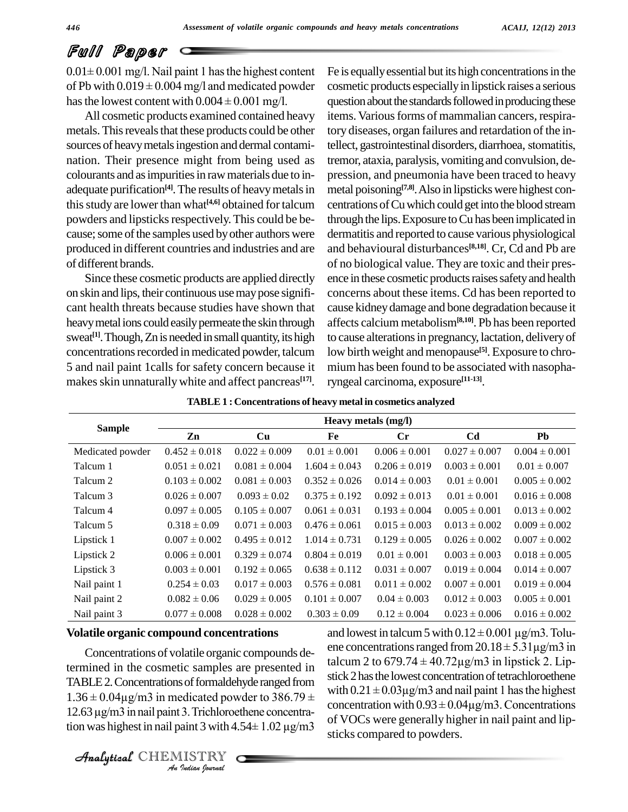# Full Paper

 $0.01 \pm 0.001$  mg/l. Nail paint 1 has the highest content **PUII Falgeur**<br> $0.01 \pm 0.001$  mg/l. Nail paint 1 has the highest content Fe is<br>of Pb with  $0.019 \pm 0.004$  mg/l and medicated powder cost  $0.01 \pm 0.001$  mg/l. Nail paint 1 has the highest content of Pb with  $0.019 \pm 0.004$  mg/l and medicated powde has the lowest content with  $0.004 \pm 0.001$  mg/l.

All cosmetic products examined contained heavy metals. This reveals that these products could be other nation. Their presence might from being used as colourants and as impurities in raw materials due to in-<br>adequate purification<sup>[4]</sup>. The results of heavy metals in metal p this study are lower than what<sup>[4,6]</sup> obtained for talcum centrations o powders and lipsticks respectively. This could be because; some of the samples used by other authors were produced in different countries and industries and are of different brands.

Since these cosmetic products are applied directly on skin and lips, their continuous usemaypose signifi cant health threats because studies have shown that heavy metal ions could easily permeate the skin through sweat<sup>[1]</sup>. Though, Zn is needed in small quantity, its high to caus concentrations recorded in medicated powder, talcum 5 and nail paint 1calls for safety concern because it makes skin unnaturally white and affect pancreas<sup>[17]</sup>. ry

sources of heavy metals ingestion and dermal contami-<br>tellect, gastrointestinal disorders, diarrhoea, stomatitis, Fe is equally essential but its high concentrations in the cosmetic products especiallyin lipstick raises a serious question about the standards followed in producing these items.Variousforms of mammalian cancers, respira-tellect, gastrointestinal disorders, diarrhoea, stomatitis, tory diseases, organ failures and retardation of the intremor, ataxia, paralysis, vomiting and convulsion, de pression, and pneumonia have been traced to heavy metal poisoning **[7,8]**.Also in lipsticks were highest con centrations ofCuwhich could getinto the blood stream through the lips.Exposure toCu has been implicated in dermatitis and reported to cause various physiological and behavioural disturbances **[8,18]**. Cr, Cd and Pb are of no biological value. They are toxic and their pres ence in these cosmetic products raises safety and health concerns about these items. Cd has been reported to cause kidneydamage and bone degradation because it affects calcium metabolism**[8,10]**. Pb has been reported to cause alterations in pregnancy, lactation, delivery of low birth weight and menopause **[5]**. Exposure to chro mium has been found to be associated with nasopharyngeal carcinoma, exposure **[11-13]**.

| <b>Sample</b>    | Heavy metals (mg/l) |                   |                   |                   |                   |                   |  |
|------------------|---------------------|-------------------|-------------------|-------------------|-------------------|-------------------|--|
|                  | Zn                  | Cu                | Fe                | $\mathbf{C}$ r    | C <sub>d</sub>    | Pb                |  |
| Medicated powder | $0.452 \pm 0.018$   | $0.022 \pm 0.009$ | $0.01 \pm 0.001$  | $0.006 \pm 0.001$ | $0.027 \pm 0.007$ | $0.004 \pm 0.001$ |  |
| Talcum 1         | $0.051 \pm 0.021$   | $0.081 \pm 0.004$ | $1.604 \pm 0.043$ | $0.206 \pm 0.019$ | $0.003 \pm 0.001$ | $0.01 \pm 0.007$  |  |
| Talcum 2         | $0.103 \pm 0.002$   | $0.081 \pm 0.003$ | $0.352 \pm 0.026$ | $0.014 \pm 0.003$ | $0.01 \pm 0.001$  | $0.005 \pm 0.002$ |  |
| Talcum 3         | $0.026 \pm 0.007$   | $0.093 \pm 0.02$  | $0.375 \pm 0.192$ | $0.092 \pm 0.013$ | $0.01 \pm 0.001$  | $0.016 \pm 0.008$ |  |
| Talcum 4         | $0.097 \pm 0.005$   | $0.105 \pm 0.007$ | $0.061 \pm 0.031$ | $0.193 \pm 0.004$ | $0.005 \pm 0.001$ | $0.013 \pm 0.002$ |  |
| Talcum 5         | $0.318 \pm 0.09$    | $0.071 \pm 0.003$ | $0.476 \pm 0.061$ | $0.015 \pm 0.003$ | $0.013 \pm 0.002$ | $0.009 \pm 0.002$ |  |
| Lipstick 1       | $0.007 \pm 0.002$   | $0.495 \pm 0.012$ | $1.014 \pm 0.731$ | $0.129 \pm 0.005$ | $0.026 \pm 0.002$ | $0.007 \pm 0.002$ |  |
| Lipstick 2       | $0.006 \pm 0.001$   | $0.329 \pm 0.074$ | $0.804 \pm 0.019$ | $0.01 \pm 0.001$  | $0.003 \pm 0.003$ | $0.018 \pm 0.005$ |  |
| Lipstick 3       | $0.003 \pm 0.001$   | $0.192 \pm 0.065$ | $0.638 \pm 0.112$ | $0.031 \pm 0.007$ | $0.019 \pm 0.004$ | $0.014 \pm 0.007$ |  |
| Nail paint 1     | $0.254 \pm 0.03$    | $0.017 \pm 0.003$ | $0.576 \pm 0.081$ | $0.011 \pm 0.002$ | $0.007 \pm 0.001$ | $0.019 \pm 0.004$ |  |
| Nail paint 2     | $0.082 \pm 0.06$    | $0.029 \pm 0.005$ | $0.101 \pm 0.007$ | $0.04 \pm 0.003$  | $0.012 \pm 0.003$ | $0.005 \pm 0.001$ |  |
| Nail paint 3     | $0.077 \pm 0.008$   | $0.028 \pm 0.002$ | $0.303 \pm 0.09$  | $0.12 \pm 0.004$  | $0.023 \pm 0.006$ | $0.016 \pm 0.002$ |  |

#### **Volatile organic compound concentrations**

TABLE 2. Concentrations of formaldehyde ranged from  $\frac{\text{such that}}{\text{with }0.21\pm\text{C}}$ *I*s of formaldelendicated power<br> *I I* Trichloroe<br> *IISTRY*<br> *IISTRY* termined in the cosmetic samples are presented in<br>
TABLE 2. Concentrations of formaldehyde ranged from stick 2 h<br>  $1.36 \pm 0.04 \mu$ g/m3 in medicated powder to 386.79 ±  $1.36 \pm 0.04 \mu$ g/m3 in medicated powder to 386.79  $\pm$ <br>12.63  $\mu$ g/m3 in nail paint 3. Trichloroethene concentra-

Concentrations of volatile organic compounds de-<br>talcum 2 to  $679.74 \pm 40.72 \mu\text{g/m}3$  in lipstick 2. Lip-1.36 ± 0.04µg/m3 in medicated powder to  $386.79 \pm$ <br>
1.36 ± 0.04µg/m3 in medicated powder to  $386.79 \pm$ <br>
12.63 µg/m3 in nail paint 3. Trichloroethene concentra-<br>
tion was highest in nail paint 3 with 4.54± 1.02 µg/m3 and lowest in talcum 5 with  $0.12 \pm 0.001$  µg/m3. Tolu $e^{3 \pm 0.09}$   $0.12 \pm 0.004$   $0.023 \pm 0.006$   $0.016 \pm 0.002$ <br>and lowest in talcum 5 with  $0.12 \pm 0.001$   $\mu$ g/m3. Tolu-<br>ene concentrations ranged from 20.18  $\pm$  5.31 $\mu$ g/m3 in and lowest in talcum 5 with  $0.12 \pm 0.001 \,\mu\text{g/m3}$ . Tolu-<br>ene concentrations ranged from  $20.18 \pm 5.31 \,\mu\text{g/m3}$  in<br>talcum 2 to 679.74  $\pm 40.72 \,\mu\text{g/m3}$  in lipstick 2. Lipstick 2 has the lowest concentration of tetrachloroethene talcum 2 to 679.74  $\pm$  40.72 $\mu$ g/m3 in lipstick 2. Lipstick 2 has the lowest concentration of tetrachloroethene with 0.21  $\pm$  0.03 $\mu$ g/m3 and nail paint 1 has the highest stick 2 has the lowest concentration of tetrachloroethene<br>with  $0.21 \pm 0.03 \mu$ g/m3 and nail paint 1 has the highest<br>concentration with  $0.93 \pm 0.04 \mu$ g/m3. Concentrations of VOCs were generally higher in nail paint and lipsticks compared to powders.

CHEMISTRY COMMENT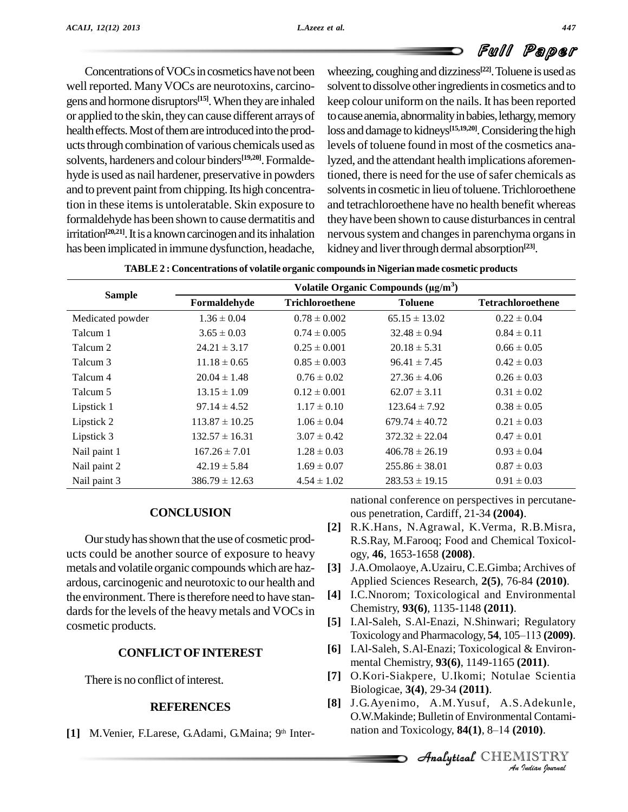Concentrations of VOCs in cosmetics have not been well reported. Many VOCs are neurotoxins, carcinogens and hormone disruptors<sup>[15]</sup>. When they are inhaled keep co or applied to the skin, theycan cause different arrays of health effects. Most of them are introduced into the products through combination of various chemicals used as solvents, hardeners and colour binders<sup>[19,20]</sup>. Formalde- lyze hyde is used as nail hardener, preservative in powders and to prevent paint from chipping. Its high concentration in these items is untoleratable. Skin exposure to formaldehyde has been shown to cause dermatitis and irritation<sup>[20,21]</sup>. It is a known carcinogen and its inhalation nervou has been implicated in immune dysfunction, headache,

wheezing, coughing and dizziness<sup>[22]</sup>. Toluene is used as solvent to dissolve other ingredients in cosmetics and to keep colour uniformon the nails. It has been reported to cause anemia, abnormality in babies, lethargy, memory loss and damage to kidneys<sup>[15,19,20]</sup>. Considering the high levels of toluene found in most of the cosmetics analyzed, and the attendant health implications aforementioned, there is need for the use of safer chemicals as solvents in cosmetic in lieu of toluene. Trichloroethene and tetrachloroethene have no health benefit whereas they have been shown to cause disturbances in central nervous system and changes in parenchyma organs in kidneyand liverthrough dermal absorption **[23]**.

|                  | Volatile Organic Compounds $(\mu g/m^3)$ |                        |                    |                          |  |  |  |
|------------------|------------------------------------------|------------------------|--------------------|--------------------------|--|--|--|
| <b>Sample</b>    | Formaldehyde                             | <b>Trichloroethene</b> | <b>Toluene</b>     | <b>Tetrachloroethene</b> |  |  |  |
| Medicated powder | $1.36 \pm 0.04$                          | $0.78 \pm 0.002$       | $65.15 \pm 13.02$  | $0.22 \pm 0.04$          |  |  |  |
| Talcum 1         | $3.65 \pm 0.03$                          | $0.74 \pm 0.005$       | $32.48 \pm 0.94$   | $0.84 \pm 0.11$          |  |  |  |
| Talcum 2         | $24.21 \pm 3.17$                         | $0.25 \pm 0.001$       | $20.18 \pm 5.31$   | $0.66 \pm 0.05$          |  |  |  |
| Talcum 3         | $11.18 \pm 0.65$                         | $0.85 \pm 0.003$       | $96.41 \pm 7.45$   | $0.42 \pm 0.03$          |  |  |  |
| Talcum 4         | $20.04 \pm 1.48$                         | $0.76 \pm 0.02$        | $27.36 \pm 4.06$   | $0.26 \pm 0.03$          |  |  |  |
| Talcum 5         | $13.15 \pm 1.09$                         | $0.12 \pm 0.001$       | $62.07 \pm 3.11$   | $0.31 \pm 0.02$          |  |  |  |
| Lipstick 1       | $97.14 \pm 4.52$                         | $1.17 \pm 0.10$        | $123.64 \pm 7.92$  | $0.38 \pm 0.05$          |  |  |  |
| Lipstick 2       | $113.87 \pm 10.25$                       | $1.06 \pm 0.04$        | $679.74 \pm 40.72$ | $0.21 \pm 0.03$          |  |  |  |
| Lipstick 3       | $132.57 \pm 16.31$                       | $3.07 \pm 0.42$        | $372.32 \pm 22.04$ | $0.47 \pm 0.01$          |  |  |  |
| Nail paint 1     | $167.26 \pm 7.01$                        | $1.28 \pm 0.03$        | $406.78 \pm 26.19$ | $0.93 \pm 0.04$          |  |  |  |
| Nail paint 2     | $42.19 \pm 5.84$                         | $1.69 \pm 0.07$        | $255.86 \pm 38.01$ | $0.87 \pm 0.03$          |  |  |  |
| Nail paint 3     | $386.79 \pm 12.63$                       | $4.54 \pm 1.02$        | $283.53 \pm 19.15$ | $0.91 \pm 0.03$          |  |  |  |

| TABLE 2 : Concentrations of volatile organic compounds in Nigerian made cosmetic products |  |
|-------------------------------------------------------------------------------------------|--|
|-------------------------------------------------------------------------------------------|--|

#### **CONCLUSION**

Ourstudyhasshown that the use of cosmetic prod ucts could be another source of exposure to heavy metals and volatile organic compounds which are haz ardous, carcinogenic and neurotoxic to our health and the environment. There is therefore need to have stan- [4] dards for the levels of the heavy metals and VOCs in cosmetic products.

#### **CONFLICTOFINTEREST**

There is no conflict of interest.

#### **REFERENCES**

[1] M. Venier, F. Larese, G. Adami, G. Maina; 9th Inter-

national conference on perspectives in percutane ous penetration, Cardiff, 21-34 **(2004)**.

- **[2]** R.K.Hans, N.Agrawal, K.Verma, R.B.Misra, R.S.Ray, M.Farooq; Food and Chemical Toxicol ogy, **46**, 1653-1658 **(2008)**.
- **[3]** J.A.Omolaoye,A.Uzairu, C.E.Gimba; Archives of Applied Sciences Research, **2(5)**, 76-84 **(2010)**.
- **[4]** I.C.Nnorom; Toxicological and Environmental Chemistry, **93(6)**, 1135-1148 **(2011)**.
- **[5]** I.Al-Saleh, S.Al-Enazi, N.Shinwari; Regulatory Toxicology and Pharmacology, **54**, 105–113 **(2009)**.
- **[6]** I.Al-Saleh, S.Al-Enazi; Toxicological & Environ mental Chemistry, **93(6)**, 1149-1165 **(2011)**.
- *An***[7]** O.Kori-Siakpere, U.Ikomi; Notulae Scientia Biologicae, **3(4)**, 29-34 **(2011)**.
- *A*<br>*Indiana*<br>*Indian*<br>*IISTRY*<br>*Indian hournal* **[8]** J.G.Ayenimo, A.M.Yusuf, A.S.Adekunle, O.W.Makinde; Bulletin of Environmental Contami-J.G. Ayenimo, A.M. Yusuf, A.S. Adekunl O.W. Makinde; Bulletin of Environmental Contan<br>nation and Toxicology, **84(1)**, 8–14 (2010).